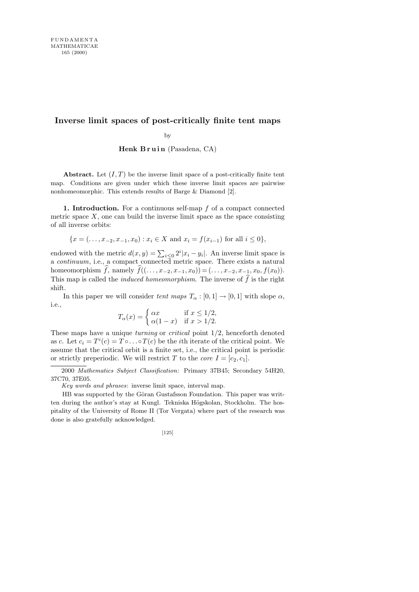## **Inverse limit spaces of post-critically finite tent maps**

by

Henk Bruin (Pasadena, CA)

**Abstract.** Let  $(I, T)$  be the inverse limit space of a post-critically finite tent map. Conditions are given under which these inverse limit spaces are pairwise nonhomeomorphic. This extends results of Barge & Diamond [2].

1. Introduction. For a continuous self-map f of a compact connected metric space  $X$ , one can build the inverse limit space as the space consisting of all inverse orbits:

$$
\{x = (\ldots, x_{-2}, x_{-1}, x_0) : x_i \in X \text{ and } x_i = f(x_{i-1}) \text{ for all } i \le 0\},\
$$

endowed with the metric  $d(x, y) = \sum_{i \leq 0} 2^i |x_i - y_i|$ . An inverse limit space is a continuum, i.e., a compact connected metric space. There exists a natural homeomorphism f, namely  $f((\ldots, x_{-2}, x_{-1}, x_0)) = (\ldots, x_{-2}, x_{-1}, x_0, f(x_0)).$ This map is called the *induced homeomorphism*. The inverse of  $\hat{f}$  is the right shift.

In this paper we will consider tent maps  $T_{\alpha} : [0, 1] \rightarrow [0, 1]$  with slope  $\alpha$ , i.e.,

$$
T_{\alpha}(x) = \begin{cases} \alpha x & \text{if } x \le 1/2, \\ \alpha(1-x) & \text{if } x > 1/2. \end{cases}
$$

These maps have a unique *turning* or *critical* point  $1/2$ , henceforth denoted as c. Let  $c_i = T^i(c) = T \circ \dots \circ T(c)$  be the *i*th iterate of the critical point. We assume that the critical orbit is a finite set, i.e., the critical point is periodic or strictly preperiodic. We will restrict T to the *core*  $I = [c_2, c_1]$ .

2000 *Mathematics Subject Classification*: Primary 37B45; Secondary 54H20, 37C70, 37E05.

*Key words and phrases*: inverse limit space, interval map.

HB was supported by the Göran Gustafsson Foundation. This paper was written during the author's stay at Kungl. Tekniska Högskolan, Stockholm. The hospitality of the University of Rome II (Tor Vergata) where part of the research was done is also gratefully acknowledged.

$$
[125]
$$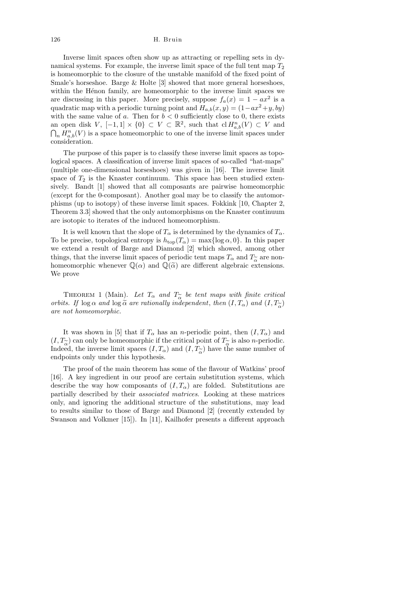Inverse limit spaces often show up as attracting or repelling sets in dynamical systems. For example, the inverse limit space of the full tent map  $T_2$ is homeomorphic to the closure of the unstable manifold of the fixed point of Smale's horseshoe. Barge & Holte [3] showed that more general horseshoes, within the Hénon family, are homeomorphic to the inverse limit spaces we are discussing in this paper. More precisely, suppose  $f_a(x) = 1 - ax^2$  is a quadratic map with a periodic turning point and  $H_{a,b}(x, y) = (1 - ax^2 + y, by)$ with the same value of a. Then for  $b < 0$  sufficiently close to 0, there exists an open disk V,  $[-1,1] \times \{0\} \subset V \subset \mathbb{R}^2$ , such that  $\mathrm{cl} H_{a,b}^n(V) \subset V$  and  $\bigcap_n H_{a,b}^n(V)$  is a space homeomorphic to one of the inverse limit spaces under consideration.

The purpose of this paper is to classify these inverse limit spaces as topological spaces. A classification of inverse limit spaces of so-called "hat-maps" (multiple one-dimensional horseshoes) was given in [16]. The inverse limit space of  $T_2$  is the Knaster continuum. This space has been studied extensively. Bandt [1] showed that all composants are pairwise homeomorphic (except for the 0-composant). Another goal may be to classify the automorphisms (up to isotopy) of these inverse limit spaces. Fokkink [10, Chapter 2, Theorem 3.3] showed that the only automorphisms on the Knaster continuum are isotopic to iterates of the induced homeomorphism.

It is well known that the slope of  $T_{\alpha}$  is determined by the dynamics of  $T_{\alpha}$ . To be precise, topological entropy is  $h_{\text{top}}(T_\alpha) = \max\{\log \alpha, 0\}$ . In this paper we extend a result of Barge and Diamond [2] which showed, among other things, that the inverse limit spaces of periodic tent maps  $T_{\alpha}$  and  $T_{\alpha}$  are non-<br>homeomorphic whenever  $\mathbb{Q}(\alpha)$  and  $\mathbb{Q}(\widetilde{\alpha})$  are different algebraic extensions. homeomorphic whenever  $\mathbb{Q}(\alpha)$  and  $\mathbb{Q}(\tilde{\alpha})$  are different algebraic extensions. We prove

THEOREM 1 (Main). Let  $T_{\alpha}$  and  $T_{\alpha}$  be tent maps with finite critical<br>ts. If  $\log \alpha$  and  $\log \tilde{\alpha}$  are rationally independent, then  $(I, T_{\alpha})$  and  $(I, T_{\alpha})$ orbits. If  $\log \alpha$  and  $\log \tilde{\alpha}$  are rationally independent, then  $(I, T_{\alpha})$  and  $(I, T_{\alpha})$ <br>are not homeomorphic. are not homeomorphic.

It was shown in [5] that if  $T_{\alpha}$  has an *n*-periodic point, then  $(I, T_{\alpha})$  and  $(I, T_{\alpha}^{\sim})$  can only be homeomorphic if the critical point of  $T_{\alpha}^{\sim}$  is also *n*-periodic.<br>Indeed, the inverse limit spaces  $(I, T_{\alpha})$  and  $(I, T_{\alpha}^{\sim})$  have the same number of Indeed, the inverse limit spaces  $(I, T_{\alpha})$  and  $(I, T_{\alpha})$  have the same number of endpoints only under this hypothesis. endpoints only under this hypothesis.

The proof of the main theorem has some of the flavour of Watkins' proof [16]. A key ingredient in our proof are certain substitution systems, which describe the way how composants of  $(I, T_\alpha)$  are folded. Substitutions are partially described by their associated matrices. Looking at these matrices only, and ignoring the additional structure of the substitutions, may lead to results similar to those of Barge and Diamond [2] (recently extended by Swanson and Volkmer [15]). In [11], Kailhofer presents a different approach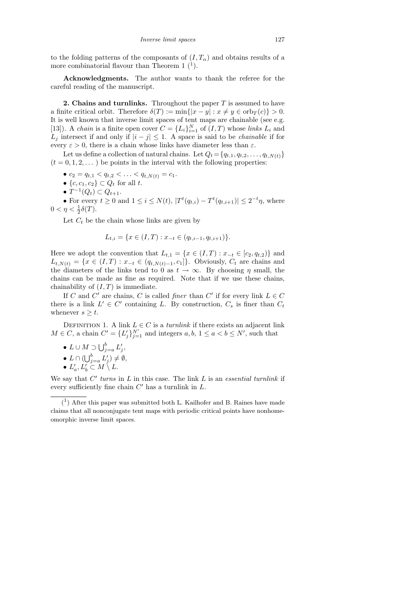to the folding patterns of the composants of  $(I, T_{\alpha})$  and obtains results of a more combinatorial flavour than Theorem 1 $(1)$ .

Acknowledgments. The author wants to thank the referee for the careful reading of the manuscript.

**2. Chains and turnlinks.** Throughout the paper  $T$  is assumed to have a finite critical orbit. Therefore  $\delta(T) := \min\{|x - y| : x \neq y \in \text{orb}_T(c)\} > 0.$ It is well known that inverse limit spaces of tent maps are chainable (see e.g. [13]). A *chain* is a finite open cover  $C = \{L_i\}_{i=1}^N$  of  $(I, T)$  whose *links*  $L_i$  and  $L_j$  intersect if and only if  $|i - j| \leq 1$ . A space is said to be *chainable* if for every  $\varepsilon > 0$ , there is a chain whose links have diameter less than  $\varepsilon$ .

Let us define a collection of natural chains. Let  $Q_t = \{q_{t,1}, q_{t,2}, \ldots, q_{t,N(t)}\}$  $(t = 0, 1, 2, ...)$  be points in the interval with the following properties:

- $c_2 = q_{t,1} < q_{t,2} < \ldots < q_{t,N(t)} = c_1.$
- $\{c, c_1, c_2\} \subset Q_t$  for all t.
- $T^{-1}(Q_t) \subset Q_{t+1}$ .

• For every  $t \ge 0$  and  $1 \le i \le N(t)$ ,  $|T^t(q_{t,i}) - T^t(q_{t,i+1})| \le 2^{-t} \eta$ , where  $0 < \eta < \frac{1}{2}\delta(T).$ 

Let  $C_t$  be the chain whose links are given by

$$
L_{t,i} = \{ x \in (I,T) : x_{-t} \in (q_{t,i-1}, q_{t,i+1}) \}.
$$

Here we adopt the convention that  $L_{t,1} = \{x \in (I,T) : x_{-t} \in [c_2, q_{t,2})\}\$ and  $L_{t,N(t)} = \{x \in (I,T) : x_{-t} \in (q_{t,N(t)-1}, c_1]\}.$  Obviously,  $C_t$  are chains and the diameters of the links tend to 0 as  $t \to \infty$ . By choosing  $\eta$  small, the chains can be made as fine as required. Note that if we use these chains, chainability of  $(I, T)$  is immediate.

If C and C' are chains, C is called *finer* than C' if for every link  $L \in C$ there is a link  $L' \in C'$  containing L. By construction,  $C_s$  is finer than  $C_t$ whenever  $s \geq t$ .

DEFINITION 1. A link  $L \in \mathbb{C}$  is a *turnlink* if there exists an adjacent link  $M \in C$ , a chain  $C' = \{L'_j\}_{j=1}^{N'}$  and integers  $a, b, 1 \le a < b \le N'$ , such that

•  $L \cup M \supset \bigcup_{j=a}^b L'_j,$ 

• 
$$
L \cap (\bigcup_{j=a}^{b} L'_j) \neq \emptyset
$$
,

•  $L'_a, L'_b \subset M \setminus L$ .

We say that  $C'$  turns in  $L$  in this case. The link  $L$  is an essential turnlink if every sufficiently fine chain  $C'$  has a turnlink in  $L$ .

<sup>(</sup> 1 ) After this paper was submitted both L. Kailhofer and B. Raines have made claims that all nonconjugate tent maps with periodic critical points have nonhomeomorphic inverse limit spaces.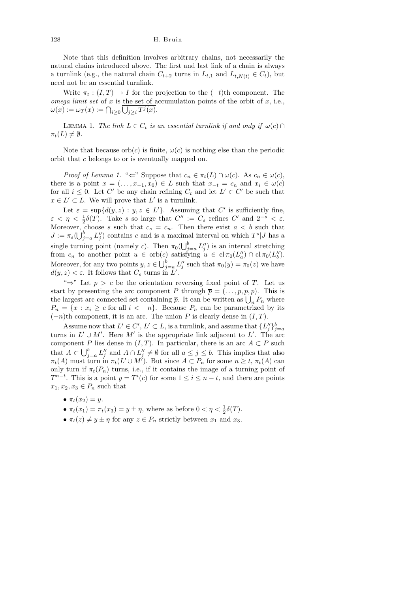Note that this definition involves arbitrary chains, not necessarily the natural chains introduced above. The first and last link of a chain is always a turnlink (e.g., the natural chain  $C_{t+2}$  turns in  $L_{t,1}$  and  $L_{t,N(t)} \in C_t$ ), but need not be an essential turnlink.

Write  $\pi_t : (I, T) \to I$  for the projection to the  $(-t)$ th component. The omega limit set of x is the set of accumulation points of the orbit of  $x$ , i.e.,  $\omega(x) := \omega_T(x) := \bigcap_{i \geq 0} \bigcup_{j \geq i} T^j(x).$ 

LEMMA 1. The link  $L \in C_t$  is an essential turnlink if and only if  $\omega(c) \cap$  $\pi_t(L) \neq \emptyset$ .

Note that because  $orb(c)$  is finite,  $\omega(c)$  is nothing else than the periodic orbit that c belongs to or is eventually mapped on.

Proof of Lemma 1. " $\Leftarrow$ " Suppose that  $c_n \in \pi_t(L) \cap \omega(c)$ . As  $c_n \in \omega(c)$ , there is a point  $x = (..., x_{-1}, x_0) \in L$  such that  $x_{-t} = c_n$  and  $x_i \in \omega(c)$ for all  $i \leq 0$ . Let C' be any chain refining  $C_t$  and let  $L' \in C'$  be such that  $x \in L' \subset L$ . We will prove that  $L'$  is a turnlink.

Let  $\varepsilon = \sup \{ d(y, z) : y, z \in L' \}.$  Assuming that C' is sufficiently fine,  $\varepsilon < \eta < \frac{1}{2}\delta(T)$ . Take s so large that  $C'' := C_s$  refines  $C'$  and  $2^{-s} < \varepsilon$ . Moreover, choose s such that  $c_s = c_n$ . Then there exist  $a < b$  such that  $J := \pi_s(\bigcup_{j=a}^b L''_j)$  contains c and is a maximal interval on which  $T^s \mid J$  has a single turning point (namely c). Then  $\pi_0(\bigcup_{j=a}^b L''_j)$  is an interval stretching from  $c_n$  to another point  $u \in orb(c)$  satisfying  $u \in cl \pi_0(L''_a) \cap cl \pi_0(L''_b)$ . Moreover, for any two points  $y, z \in \bigcup_{j=a}^{b} L''_j$  such that  $\pi_0(y) = \pi_0(z)$  we have  $d(y, z) < \varepsilon$ . It follows that  $C_s$  turns in  $\tilde{L}'$ .

"⇒" Let  $p > c$  be the orientation reversing fixed point of T. Let us start by presenting the arc component P through  $\bar{p} = (\ldots, p, p, p)$ . This is the largest arc connected set containing  $\bar{p}$ . It can be written as  $\bigcup_n P_n$  where  $P_n = \{x : x_i \geq c \text{ for all } i < -n\}.$  Because  $P_n$  can be parametrized by its  $(-n)$ th component, it is an arc. The union P is clearly dense in  $(I, T)$ .

Assume now that  $L' \in C', L' \subset L$ , is a turnlink, and assume that  $\{L''_j\}_{j=a}^b$ turns in  $L' \cup M'$ . Here M' is the appropriate link adjacent to L'. The arc component P lies dense in  $(I, T)$ . In particular, there is an arc  $A \subset P$  such that  $A \subset \bigcup_{j=a}^b L''_j$  and  $A \cap L''_j \neq \emptyset$  for all  $a \leq j \leq b$ . This implies that also  $\pi_t(A)$  must turn in  $\pi_t(L' \cup M')$ . But since  $A \subset P_n$  for some  $n \geq t$ ,  $\pi_t(A)$  can only turn if  $\pi_t(P_n)$  turns, i.e., if it contains the image of a turning point of  $T^{n-t}$ . This is a point  $y = T^{i}(c)$  for some  $1 \leq i \leq n-t$ , and there are points  $x_1, x_2, x_3 \in P_n$  such that

- $\pi_t(x_2) = y$ .
- $\pi_t(x_1) = \pi_t(x_3) = y \pm \eta$ , where as before  $0 < \eta < \frac{1}{2}\delta(T)$ .
- $\pi_t(z) \neq y \pm \eta$  for any  $z \in P_n$  strictly between  $x_1$  and  $x_3$ .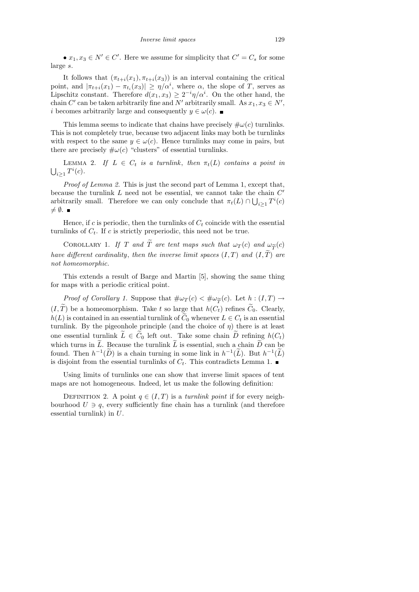•  $x_1, x_3 \in N' \in C'$ . Here we assume for simplicity that  $C' = C_s$  for some large s.

It follows that  $(\pi_{t+i}(x_1), \pi_{t+i}(x_3))$  is an interval containing the critical point, and  $|\pi_{t+i}(x_1) - \pi_{t_i}(x_3)| \geq \eta/\alpha^i$ , where  $\alpha$ , the slope of T, serves as Lipschitz constant. Therefore  $d(x_1, x_3) \geq 2^{-i} \eta/\alpha^i$ . On the other hand, the chain C' can be taken arbitrarily fine and N' arbitrarily small. As  $x_1, x_3 \in N'$ , *i* becomes arbitrarily large and consequently  $y \in \omega(c)$ . ■

This lemma seems to indicate that chains have precisely  $\#\omega(c)$  turnlinks. This is not completely true, because two adjacent links may both be turnlinks with respect to the same  $y \in \omega(c)$ . Hence turnlinks may come in pairs, but there are precisely  $\#\omega(c)$  "clusters" of essential turnlinks.

LEMMA 2. If  $L \in C_t$  is a turnlink, then  $\pi_t(L)$  contains a point in  $\bigcup_{i\geq 1} T^i(c)$ .

Proof of Lemma 2. This is just the second part of Lemma 1, except that, because the turnlink  $L$  need not be essential, we cannot take the chain  $C'$ arbitrarily small. Therefore we can only conclude that  $\pi_t(L) \cap \bigcup_{i \geq 1} T^i(c)$  $\neq \emptyset$ .

Hence, if c is periodic, then the turnlinks of  $C_t$  coincide with the essential turnlinks of  $C_t$ . If c is strictly preperiodic, this need not be true.

COROLLARY 1. If T and  $\tilde{T}$  are tent maps such that  $\omega_T(c)$  and  $\omega_{\tilde{T}}(c)$ <br>of different cardinality, then the inverse limit spaces (IT) and (IT) are have different cardinality, then the inverse limit spaces  $(I, T)$  and  $(I, \tilde{T})$  are not homeomorphic.

This extends a result of Barge and Martin [5], showing the same thing for maps with a periodic critical point.

Proof of Corollary 1. Suppose that  $\#\omega_T(c) < \#\omega_{\widetilde{T}}(c)$ . Let  $h : (I,T) \to \widetilde{T}$  be a homeomorphism. Take t so large that  $h(C_i)$  refines  $\widetilde{C}_c$ . Clearly  $(I, T)$  be a homeomorphism. Take t so large that  $h(C_t)$  refines  $C_0$ . Clearly,  $h(L)$  is contained in an essential turnlink of  $C_0$  whenever  $L \in C_t$  is an essential turnlink. By the pigeonhole principle (and the choice of  $\eta$ ) there is at least one essential turnlink  $\widetilde{L} \in \widetilde{C}_0$  left out. Take some chain  $\widetilde{D}$  refining  $h(C_t)$ which turns in  $\tilde{L}$ . Because the turnlink  $\tilde{L}$  is essential, such a chain  $\tilde{D}$  can be found. Then  $h^{-1}(\tilde{D})$  is a chain turning in some link in  $h^{-1}(\tilde{L})$ . But  $h^{-1}(\tilde{L})$ is disjoint from the essential turnlinks of  $C_t$ . This contradicts Lemma 1.

Using limits of turnlinks one can show that inverse limit spaces of tent maps are not homogeneous. Indeed, let us make the following definition:

DEFINITION 2. A point  $q \in (I, T)$  is a turnlink point if for every neighbourhood  $U \ni q$ , every sufficiently fine chain has a turnlink (and therefore essential turnlink) in U.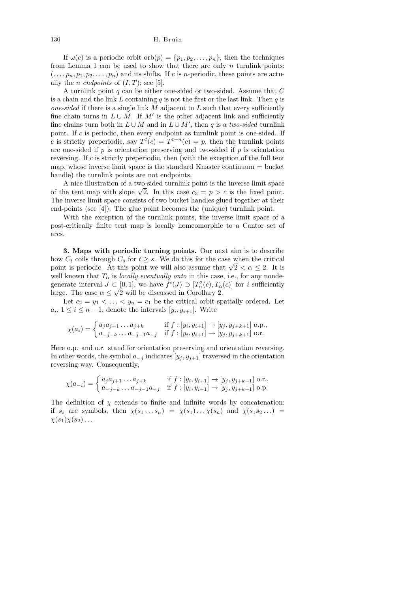If  $\omega(c)$  is a periodic orbit orb $(p) = \{p_1, p_2, \ldots, p_n\}$ , then the techniques from Lemma 1 can be used to show that there are only  $n$  turnlink points:  $(\ldots, p_n, p_1, p_2, \ldots, p_n)$  and its shifts. If c is *n*-periodic, these points are actually the *n* endpoints of  $(I, T)$ ; see [5].

A turnlink point  $q$  can be either one-sided or two-sided. Assume that  $C$ is a chain and the link  $L$  containing  $q$  is not the first or the last link. Then  $q$  is one-sided if there is a single link  $M$  adjacent to  $L$  such that every sufficiently fine chain turns in  $L \cup M$ . If M' is the other adjacent link and sufficiently fine chains turn both in  $L \cup M$  and in  $L \cup M'$ , then q is a two-sided turnlink point. If c is periodic, then every endpoint as turnlink point is one-sided. If c is strictly preperiodic, say  $T^t(c) = T^{t+n}(c) = p$ , then the turnlink points are one-sided if  $p$  is orientation preserving and two-sided if  $p$  is orientation reversing. If  $c$  is strictly preperiodic, then (with the exception of the full tent map, whose inverse limit space is the standard Knaster continuum  $=$  bucket handle) the turnlink points are not endpoints.

A nice illustration of a two-sided turnlink point is the inverse limit space A nice interaction of a two-sided turning point is the inverse limit space<br>of the tent map with slope  $\sqrt{2}$ . In this case  $c_3 = p > c$  is the fixed point. The inverse limit space consists of two bucket handles glued together at their end-points (see [4]). The glue point becomes the (unique) turnlink point.

With the exception of the turnlink points, the inverse limit space of a post-critically finite tent map is locally homeomorphic to a Cantor set of arcs.

3. Maps with periodic turning points. Our next aim is to describe how  $C_t$  coils through  $C_s$  for  $t \geq s$ . We do this for the case when the critical how  $C_t$  constration  $C_s$  for  $t \geq s$ . We do this for the case when the critical point is periodic. At this point we will also assume that  $\sqrt{2} < \alpha \leq 2$ . It is well known that  $T_{\alpha}$  is *locally eventually onto* in this case, i.e., for any nondegenerate interval  $J \subset [0,1]$ , we have  $f^i(J) \supset [T_\alpha^2(c), T_\alpha(c)]$  for i sufficiently large. The case  $\alpha \leq \sqrt{2}$  will be discussed in Corollary 2.

Let  $c_2 = y_1 < \ldots < y_n = c_1$  be the critical orbit spatially ordered. Let  $a_i, 1 \leq i \leq n-1$ , denote the intervals  $[y_i, y_{i+1}]$ . Write

$$
\chi(a_i) = \begin{cases} a_j a_{j+1} \dots a_{j+k} & \text{if } f : [y_i, y_{i+1}] \to [y_j, y_{j+k+1}] \text{ o.p.,} \\ a_{-j-k} \dots a_{-j-1} a_{-j} & \text{if } f : [y_i, y_{i+1}] \to [y_j, y_{j+k+1}] \text{ o.r.} \end{cases}
$$

Here o.p. and o.r. stand for orientation preserving and orientation reversing. In other words, the symbol  $a_{-j}$  indicates  $[y_j, y_{j+1}]$  traversed in the orientation reversing way. Consequently,

$$
\chi(a_{-i}) = \begin{cases} a_j a_{j+1} \dots a_{j+k} & \text{if } f : [y_i, y_{i+1}] \to [y_j, y_{j+k+1}] \text{ o.r.}, \\ a_{-j-k} \dots a_{-j-1} a_{-j} & \text{if } f : [y_i, y_{i+1}] \to [y_j, y_{j+k+1}] \text{ o.p.} \end{cases}
$$

The definition of  $\chi$  extends to finite and infinite words by concatenation: if  $s_i$  are symbols, then  $\chi(s_1 \ldots s_n) = \chi(s_1) \ldots \chi(s_n)$  and  $\chi(s_1 s_2 \ldots)$  $\chi(s_1)\chi(s_2)\ldots$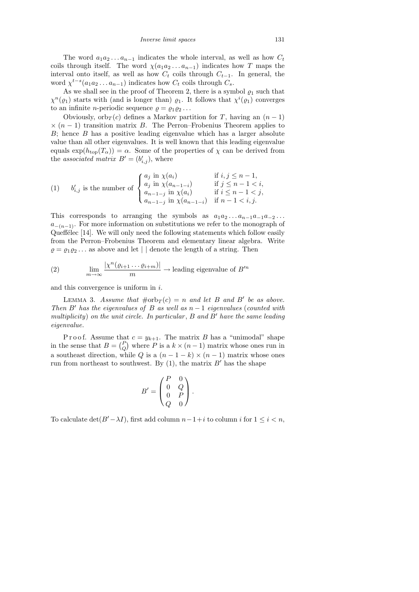The word  $a_1a_2 \ldots a_{n-1}$  indicates the whole interval, as well as how  $C_t$ coils through itself. The word  $\chi(a_1a_2 \ldots a_{n-1})$  indicates how T maps the interval onto itself, as well as how  $C_t$  coils through  $C_{t-1}$ . In general, the word  $\chi^{t-s}(a_1 a_2 \ldots a_{n-1})$  indicates how  $C_t$  coils through  $C_s$ .

As we shall see in the proof of Theorem 2, there is a symbol  $\varrho_1$  such that  $\chi^{n}(\varrho_1)$  starts with (and is longer than)  $\varrho_1$ . It follows that  $\chi^{i}(\varrho_1)$  converges to an infinite *n*-periodic sequence  $\rho = \rho_1 \rho_2 \ldots$ 

Obviously, orb $T(c)$  defines a Markov partition for T, having an  $(n-1)$  $\times$  (n − 1) transition matrix B. The Perron–Frobenius Theorem applies to  $B$ ; hence  $B$  has a positive leading eigenvalue which has a larger absolute value than all other eigenvalues. It is well known that this leading eigenvalue equals  $\exp(h_{\text{top}}(T_{\alpha})) = \alpha$ . Some of the properties of  $\chi$  can be derived from the associated matrix  $B' = (b'_{i,j})$ , where

(1) 
$$
b'_{i,j}
$$
 is the number of 
$$
\begin{cases} a_j \text{ in } \chi(a_i) & \text{if } i, j \leq n-1, \\ a_j \text{ in } \chi(a_{n-1-i}) & \text{if } j \leq n-1 < i, \\ a_{n-1-j} \text{ in } \chi(a_i) & \text{if } i \leq n-1 < j, \\ a_{n-1-j} \text{ in } \chi(a_{n-1-i}) & \text{if } n-1 < i, j. \end{cases}
$$

This corresponds to arranging the symbols as  $a_1a_2 \ldots a_{n-1}a_{-1}a_{-2} \ldots$  $a_{-(n-1)}$ . For more information on substitutions we refer to the monograph of Queff $\acute{e}$ lec [14]. We will only need the following statements which follow easily from the Perron–Frobenius Theorem and elementary linear algebra. Write  $\rho = \rho_1 \rho_2 \ldots$  as above and let | | denote the length of a string. Then

(2) 
$$
\lim_{m \to \infty} \frac{|\chi^n(\varrho_{i+1} \dots \varrho_{i+m})|}{m} \to \text{leading eigenvalue of } B'^n
$$

and this convergence is uniform in  $i$ .

LEMMA 3. Assume that  $\#\text{orb}_T(c) = n$  and let B and B' be as above. Then B' has the eigenvalues of B as well as  $n-1$  eigenvalues (counted with multiplicity) on the unit circle. In particular,  $B$  and  $B'$  have the same leading eigenvalue.

P r o o f. Assume that  $c = y_{k+1}$ . The matrix B has a "unimodal" shape in the sense that  $B = \begin{pmatrix} P \\ Q \end{pmatrix}$  where P is a  $k \times (n-1)$  matrix whose ones run in a southeast direction, while Q is a  $(n-1-k) \times (n-1)$  matrix whose ones run from northeast to southwest. By  $(1)$ , the matrix  $B'$  has the shape

$$
B' = \begin{pmatrix} P & 0 \\ 0 & Q \\ 0 & P \\ Q & 0 \end{pmatrix}.
$$

To calculate  $\det(B'-\lambda I)$ , first add column  $n-1+i$  to column i for  $1 \leq i < n$ ,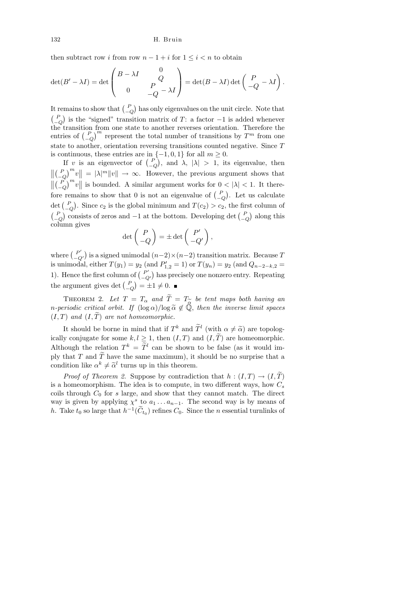then subtract row i from row  $n - 1 + i$  for  $1 \leq i < n$  to obtain

$$
\det(B' - \lambda I) = \det \begin{pmatrix} B - \lambda I & 0 \\ 0 & P \\ 0 & -Q - \lambda I \end{pmatrix} = \det(B - \lambda I) \det \begin{pmatrix} P & 0 \\ -Q & -\lambda I \end{pmatrix}.
$$

It remains to show that  $\binom{P}{-Q}$  has only eigenvalues on the unit circle. Note that  $\binom{P}{-Q}$  is the "signed" transition matrix of T: a factor  $-1$  is added whenever  $\begin{pmatrix} -Q \\ \end{pmatrix}$  is the signed transition matrix of 1. a factor  $\begin{pmatrix} 1 \\ 1 \end{pmatrix}$  is added whenever the transition from one state to another reverses orientation. Therefore the entries of  $\left(\begin{matrix} P \\ -Q \end{matrix}\right)^m$  represent the total number of transitions by  $T^m$  from one state to another, orientation reversing transitions counted negative. Since T is continuous, these entries are in  $\{-1,0,1\}$  for all  $m \geq 0$ .

If v is an eigenvector of  $\begin{pmatrix} P \\ -Q \end{pmatrix}$ , and  $\lambda$ ,  $|\lambda| > 1$ , its eigenvalue, then  $\left\| \left( \frac{P}{-Q} \right)^m w \right\| = |\lambda|^m \|v\| \to \infty$ . However, the previous argument shows that  $\left\| \left( \begin{array}{c} P \\ -Q \end{array} \right)^m v \right\|$  is bounded. A similar argument works for  $0 < |\lambda| < 1$ . It therefore remains to show that 0 is not an eigenvalue of  $\binom{P}{-Q}$ . Let us calculate det  $\begin{pmatrix} P \\ -Q \end{pmatrix}$ . Since  $c_2$  is the global minimum and  $T(c_2) > c_2$ , the first column of  $\binom{P}{-Q}$  consists of zeros and −1 at the bottom. Developing det  $\binom{P}{-Q}$  along this column gives

$$
\det\begin{pmatrix} P \\ -Q \end{pmatrix} = \pm \det\begin{pmatrix} P' \\ -Q' \end{pmatrix},
$$

where  $\binom{P'}{C}$  $\binom{P'}{-Q'}$  is a signed unimodal  $(n-2) \times (n-2)$  transition matrix. Because T is unimodal, either  $T(y_1) = y_2$  (and  $P'_{1,2} = 1$ ) or  $T(y_n) = y_2$  (and  $Q_{n-2-k,2} =$ 1). Hence the first column of  $\binom{P'}{Q}$  $\binom{P'}{-Q'}$  has precisely one nonzero entry. Repeating the argument gives det  $\binom{P}{-Q} = \pm 1 \neq 0$ .

THEOREM 2. Let  $T = T_{\alpha}$  and  $\widetilde{T} = T_{\widetilde{\alpha}}$  be tent maps both having an eriodic critical orbit. If  $(\log \alpha)/\log \widetilde{\alpha} \notin \widetilde{\mathbb{Q}}$ , then the inverse limit spaces n-periodic critical orbit. If  $(\log \alpha)/\log \tilde{\alpha} \notin \mathbb{Q}$ , then the inverse limit spaces  $(I, T)$  and  $(I, \tilde{T})$  are not homeomorphic.

It should be borne in mind that if  $T^k$  and  $\tilde{T}^l$  (with  $\alpha \neq \tilde{\alpha}$ ) are topolog-<br>constants for agency  $l, l > 1$ , then  $(T, T)$  and  $(T, \tilde{T})$  are homogeneouslips ically conjugate for some  $k, l \geq 1$ , then  $(I, T)$  and  $(I, \widetilde{T})$  are homeomorphic. Although the relation  $T^k = \tilde{T}^l$  can be shown to be false (as it would imply that T and  $\widetilde{T}$  have the same maximum), it should be no surprise that a condition like  $\alpha^k \neq \tilde{\alpha}^l$  turns up in this theorem.

*Proof of Theorem 2.* Suppose by contradiction that  $h:(I,T) \rightarrow (I,\widetilde{T})$ is a homeomorphism. The idea is to compute, in two different ways, how  $C_s$ coils through  $C_0$  for s large, and show that they cannot match. The direct way is given by applying  $\chi^s$  to  $a_1 \ldots a_{n-1}$ . The second way is by means of h. Take  $t_0$  so large that  $h^{-1}(\tilde{C}_{t_0})$  refines  $C_0$ . Since the n essential turnlinks of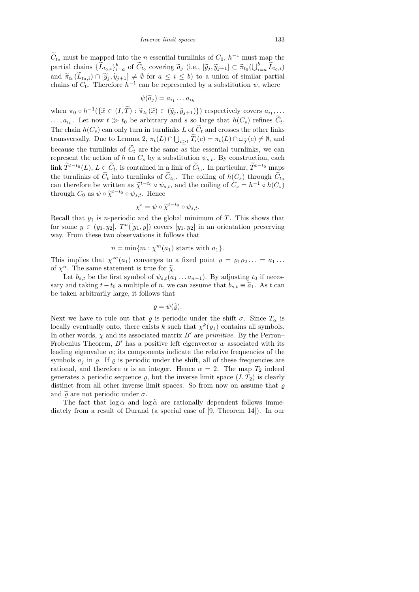$\widetilde{C}_{t_0}$  must be mapped into the n essential turnlinks of  $C_0$ ,  $h^{-1}$  must map the partial chains  $\{\widetilde{L}_{t_0,i}\}_{i=a}^b$  of  $\widetilde{C}_{t_0}$  covering  $\widetilde{a}_j$  (i.e.,  $[\widetilde{y}_j, \widetilde{y}_{j+1}] \subset \widetilde{\pi}_{t_0}(\bigcup_{i=a}^b \widetilde{L}_{t_0,i})$ and  $\tilde{\pi}_{t_0}(L_{t_0,i}) \cap [\tilde{y}_j, \tilde{y}_{j+1}] \neq \emptyset$  for  $a \leq i \leq b$ ) to a union of similar partial<br>chains of  $C$ . Therefore  $b^{-1}$  are be represented by a substitution  $\psi$ , where chains of  $C_0$ . Therefore  $h^{-1}$  can be represented by a substitution  $\psi$ , where

$$
\psi(\widetilde{a}_j)=a_{i_1}\dots a_{i_k}
$$

when  $\pi_0 \circ h^{-1}(\{\tilde{x} \in (I, \tilde{T}) : \tilde{\pi}_{t_0}(\tilde{x}) \in (\tilde{y}_j, \tilde{y}_{j+1})\})$  respectively covers  $a_{i_1}, \ldots$  $\ldots, a_{i_k}$ . Let now  $t \gg t_0$  be arbitrary and s so large that  $h(C_s)$  refines  $C_t$ . The chain  $h(C_s)$  can only turn in turnlinks L of  $\widetilde{C}_t$  and crosses the other links transversally. Due to Lemma 2,  $\pi_t(L) \cap \bigcup_{i \geq 1} T_i(c) = \pi_t(L) \cap \omega_{\widetilde{T}}(c) \neq \emptyset$ , and<br>because the turnlinks of  $\widetilde{C}_t$  are the same as the essential turnlinks, we can because the turnlinks of  $\tilde{C}_t$  are the same as the essential turnlinks, we can represent the action of h on  $C_s$  by a substitution  $\psi_{s,t}$ . By construction, each link  $\widetilde{T}^{t-t_0}(L)$ ,  $L \in \widetilde{C}_t$ , is contained in a link of  $\widetilde{C}_{t_0}$ . In particular,  $\widetilde{T}^{t-t_0}$  maps the turnlinks of  $C_t$  into turnlinks of  $C_{t_0}$ . The coiling of  $h(C_s)$  through  $C_{t_0}$ can therefore be written as  $\tilde{\chi}^{t-t_0} \circ \psi_{s,t}$ , and the coiling of  $C_s = h^{-1} \circ h(C_s)$ <br>through  $C_s$  as  $\psi \circ \tilde{\chi}^{t-t_0} \circ \psi_s$ . Honce through  $C_0$  as  $\psi \circ \tilde{\chi}^{t-t_0} \circ \psi_{s,t}$ . Hence

$$
\chi^s = \psi \circ \widetilde{\chi}^{t-t_0} \circ \psi_{s,t}.
$$

Recall that  $y_1$  is *n*-periodic and the global minimum of  $T$ . This shows that for some  $y \in (y_1, y_2], T<sup>n</sup>(y_1, y_1)$  covers  $[y_1, y_2]$  in an orientation preserving way. From these two observations it follows that

$$
n = \min\{m : \chi^m(a_1) \text{ starts with } a_1\}.
$$

This implies that  $\chi^{sn}(a_1)$  converges to a fixed point  $\rho = \rho_1 \rho_2 ... = a_1 ...$ of  $\chi^n$ . The same statement is true for  $\tilde{\chi}$ .

Let  $b_{s,t}$  be the first symbol of  $\psi_{s,t}(a_1 \dots a_{n-1})$ . By adjusting  $t_0$  if necessary and taking  $t-t_0$  a multiple of n, we can assume that  $b_{s,t} \equiv \tilde{a}_1$ . As t can be taken arbitrarily large, it follows that

$$
\varrho=\psi(\widetilde{\varrho}).
$$

Next we have to rule out that  $\varrho$  is periodic under the shift  $\sigma$ . Since  $T_{\alpha}$  is locally eventually onto, there exists k such that  $\chi^k(\varrho_1)$  contains all symbols. In other words,  $\chi$  and its associated matrix  $B'$  are primitive. By the Perron– Frobenius Theorem,  $B'$  has a positive left eigenvector w associated with its leading eigenvalue  $\alpha$ ; its components indicate the relative frequencies of the symbols  $a_i$  in  $\rho$ . If  $\rho$  is periodic under the shift, all of these frequencies are rational, and therefore  $\alpha$  is an integer. Hence  $\alpha = 2$ . The map  $T_2$  indeed generates a periodic sequence  $\varrho$ , but the inverse limit space  $(I, T_2)$  is clearly distinct from all other inverse limit spaces. So from now on assume that  $\varrho$ and  $\tilde{\rho}$  are not periodic under  $\sigma$ .

The fact that  $\log \alpha$  and  $\log \tilde{\alpha}$  are rationally dependent follows immediately from a result of Durand (a special case of [9, Theorem 14]). In our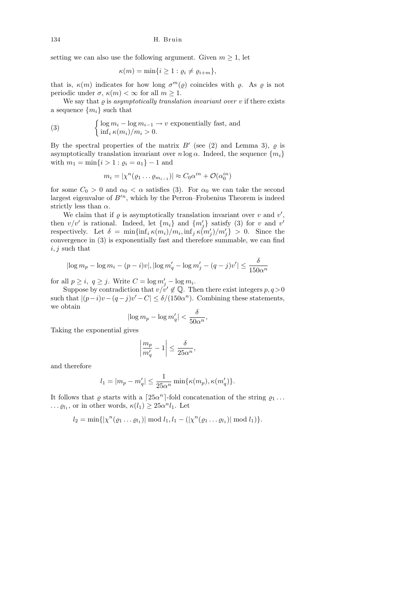setting we can also use the following argument. Given  $m \geq 1$ , let

$$
\kappa(m) = \min\{i \geq 1 : \varrho_i \neq \varrho_{i+m}\},\
$$

that is,  $\kappa(m)$  indicates for how long  $\sigma^m(\varrho)$  coincides with  $\varrho$ . As  $\varrho$  is not periodic under  $\sigma$ ,  $\kappa(m) < \infty$  for all  $m \geq 1$ .

We say that  $\varrho$  is asymptotically translation invariant over  $v$  if there exists a sequence  $\{m_i\}$  such that

(3) 
$$
\begin{cases} \log m_i - \log m_{i-1} \to v \text{ exponentially fast, and} \\ \inf_i \kappa(m_i)/m_i > 0. \end{cases}
$$

By the spectral properties of the matrix  $B'$  (see (2) and Lemma 3),  $\varrho$  is asymptotically translation invariant over  $n \log \alpha$ . Indeed, the sequence  $\{m_i\}$ with  $m_1 = \min\{i > 1 : \varrho_i = a_1\} - 1$  and

$$
m_i = |\chi^n(\varrho_1 \dots \varrho_{m_{i-1}})| \approx C_0 \alpha^{in} + \mathcal{O}(\alpha_0^{in})
$$

for some  $C_0 > 0$  and  $\alpha_0 < \alpha$  satisfies (3). For  $\alpha_0$  we can take the second largest eigenvalue of  $B^{\prime n}$ , which by the Perron–Frobenius Theorem is indeed strictly less than  $\alpha$ .

We claim that if  $\varrho$  is asymptotically translation invariant over  $v$  and  $v'$ , then  $v/v'$  is rational. Indeed, let  $\{m_i\}$  and  $\{m'_j\}$  satisfy (3) for v and v' respectively. Let  $\delta = \min\{\inf_i \kappa(m_i)/m_i, \inf_j \kappa(m'_j)/m'_j\} > 0$ . Since the convergence in (3) is exponentially fast and therefore summable, we can find  $i, j$  such that

$$
|\log m_p - \log m_i - (p - i)v|, |\log m'_q - \log m'_j - (q - j)v'| \le \frac{\delta}{150\alpha^n}
$$

for all  $p \ge i$ ,  $q \ge j$ . Write  $C = \log m'_j - \log m_i$ .

Suppose by contradiction that  $v/v' \notin \mathbb{Q}$ . Then there exist integers  $p, q > 0$ such that  $|(p-i)v - (q-j)v' - C| \leq \delta/(150\alpha^n)$ . Combining these statements, we obtain

$$
\left|\log m_p - \log m'_q\right| < \frac{\delta}{50\alpha^n}
$$

,

Taking the exponential gives

$$
\left|\frac{m_p}{m'_q} - 1\right| \le \frac{\delta}{25\alpha^n},
$$

and therefore

$$
l_1=|m_p-m_q'|\leq \frac{1}{25\alpha^n}\min\{\kappa(m_p),\kappa(m_q')\}.
$$

It follows that  $\varrho$  starts with a  $\lceil 25\alpha^n \rceil$ -fold concatenation of the string  $\varrho_1 \dots$  $\ldots \varrho_{l_1}$ , or in other words,  $\kappa(l_1) \geq 25\alpha^n l_1$ . Let

$$
l_2 = \min\{|\chi^n(\varrho_1 \dots \varrho_{l_1})| \bmod l_1, l_1 - (|\chi^n(\varrho_1 \dots \varrho_{l_1})| \bmod l_1)\}.
$$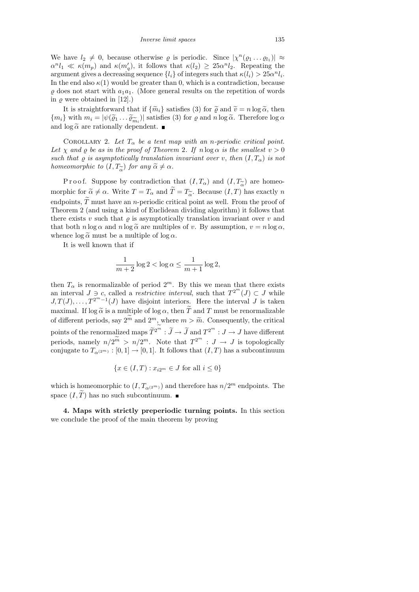We have  $l_2 \neq 0$ , because otherwise  $\varrho$  is periodic. Since  $|\chi^n(\varrho_1 \dots \varrho_{l_1})| \approx$  $\alpha^{n}l_1 \ll \kappa(m_p)$  and  $\kappa(m'_q)$ , it follows that  $\kappa(l_2) \geq 25\alpha^{n}l_2$ . Repeating the argument gives a decreasing sequence  $\{l_i\}$  of integers such that  $\kappa(l_i) > 25\alpha^n l_i$ . In the end also  $\kappa(1)$  would be greater than 0, which is a contradiction, because  $\varrho$  does not start with  $a_1a_1$ . (More general results on the repetition of words in  $\rho$  were obtained in [12].)

It is straightforward that if  $\{\tilde{m}_i\}$  satisfies (3) for  $\tilde{\varrho}$  and  $\tilde{v} = n \log \tilde{\alpha}$ , then  ${m_i}$  with  $m_i = |\psi(\widetilde{\varrho}_1 \dots \widetilde{\varrho}_{\widetilde{m}_i})|$  satisfies (3) for  $\varrho$  and  $n \log \widetilde{\alpha}$ . Therefore  $\log \alpha$  and  $\log \widetilde{\alpha}$  are rationally dependent. and  $\log \tilde{\alpha}$  are rationally dependent.

COROLLARY 2. Let  $T_{\alpha}$  be a tent map with an n-periodic critical point. Let  $\chi$  and  $\rho$  be as in the proof of Theorem 2. If  $n \log \alpha$  is the smallest  $v > 0$ such that  $\varrho$  is asymptotically translation invariant over v, then  $(I, T_{\alpha})$  is not homeomorphic to  $(I, T_{\widetilde{\alpha}})$  for any  $\widetilde{\alpha} \neq \alpha$ .

P r o o f. Suppose by contradiction that  $(I, T_{\alpha})$  and  $(I, T_{\alpha})$  are homeo-<br>phic for  $\tilde{\alpha} \neq \alpha$ . Write  $T = T$ , and  $\tilde{T} = T_{\alpha}$ . Because  $(I, T)$  has exactly n morphic for  $\tilde{\alpha} \neq \alpha$ . Write  $T = T_{\alpha}$  and  $T = T_{\tilde{\alpha}}$ . Because  $(I, T)$  has exactly n<br>endpoints  $\tilde{T}$  must have an n-periodic critical point as well. From the proof of endpoints,  $\tilde{T}$  must have an *n*-periodic critical point as well. From the proof of Theorem 2 (and using a kind of Euclidean dividing algorithm) it follows that there exists v such that  $\rho$  is asymptotically translation invariant over v and that both  $n \log \alpha$  and  $n \log \tilde{\alpha}$  are multiples of v. By assumption,  $v = n \log \alpha$ , whence  $\log \tilde{\alpha}$  must be a multiple of  $\log \alpha$ .

It is well known that if

$$
\frac{1}{m+2}\log 2 < \log \alpha \le \frac{1}{m+1}\log 2,
$$

then  $T_{\alpha}$  is renormalizable of period  $2^{m}$ . By this we mean that there exists an interval  $J \ni c$ , called a *restrictive interval*, such that  $T^{2^m}(J) \subset J$  while  $J, T(J), \ldots, T^{2^{m}-1}(J)$  have disjoint interiors. Here the interval J is taken maximal. If  $\log \tilde{\alpha}$  is a multiple of  $\log \alpha$ , then T and T must be renormalizable of different periods, say  $2^{\widetilde{m}}$  and  $2^m$ , where  $m > \widetilde{m}$ . Consequently, the critical points of the renormalized maps  $\widetilde{T}^{2^m} : \widetilde{J} \to \widetilde{J}$  and  $T^{2^m} : J \to J$  have different periods, namely  $n/2^{\widetilde{m}} > n/2^m$ . Note that  $T^{2^m} : J \to J$  is topologically conjugate to  $T_{\alpha^{(2^m)}} : [0,1] \to [0,1]$ . It follows that  $(I,T)$  has a subcontinuum

$$
\{x \in (I, T) : x_{i2^m} \in J \text{ for all } i \le 0\}
$$

which is homeomorphic to  $(I, T_{\alpha(2^m)})$  and therefore has  $n/2^m$  endpoints. The space  $(I, \tilde{T})$  has no such subcontinuum.

4. Maps with strictly preperiodic turning points. In this section we conclude the proof of the main theorem by proving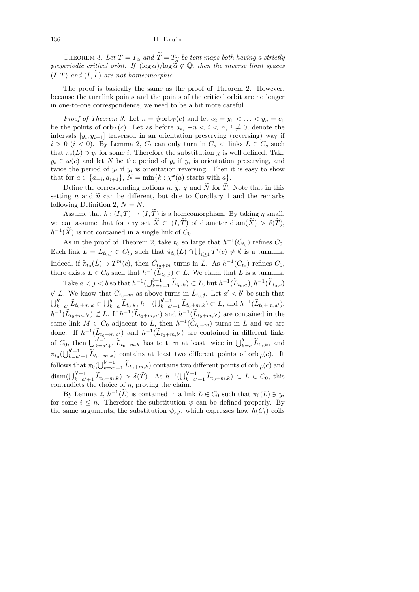THEOREM 3. Let  $T = T_{\alpha}$  and  $\widetilde{T} = T_{\widetilde{\alpha}}$ <br>eriodic critical orbit. If  $(\log \alpha)/\log \widetilde{\widetilde{\alpha}}$ THEOREM 3. Let  $T = T_{\alpha}$  and  $\widetilde{T} = T_{\widetilde{\alpha}}$  be tent maps both having a strictly preperiodic critical orbit. If  $(\log \alpha)/\log \tilde{\alpha} \notin \mathbb{Q}$ , then the inverse limit spaces  $(I, T)$  and  $(I, \tilde{T})$  are not homeomorphic.

The proof is basically the same as the proof of Theorem 2. However, because the turnlink points and the points of the critical orbit are no longer in one-to-one correspondence, we need to be a bit more careful.

*Proof of Theorem 3.* Let  $n = \text{\#orb}_T(c)$  and let  $c_2 = y_1 < \ldots < y_n = c_1$ be the points of orb $T(c)$ . Let as before  $a_i$ ,  $-n < i < n$ ,  $i \neq 0$ , denote the intervals  $[y_i, y_{i+1}]$  traversed in an orientation preserving (reversing) way if  $i > 0$   $(i < 0)$ . By Lemma 2,  $C_t$  can only turn in  $C_s$  at links  $L \in C_s$  such that  $\pi_s(L) \ni y_i$  for some *i*. Therefore the substitution  $\chi$  is well defined. Take  $y_i \in \omega(c)$  and let N be the period of  $y_i$  if  $y_i$  is orientation preserving, and twice the period of  $y_i$  if  $y_i$  is orientation reversing. Then it is easy to show that for  $a \in \{a_{-i}, a_{i+1}\}, N = \min\{k : \chi^k(a) \text{ starts with } a\}.$ 

Define the corresponding notions  $\tilde{n}, \tilde{y}, \tilde{\chi}$  and N for T. Note that in this setting n and  $\tilde{n}$  can be different, but due to Corollary 1 and the remarks following Definition 2,  $N = N$ .

Assume that  $h:(I,T) \to (I,\widetilde{T})$  is a homeomorphism. By taking  $\eta$  small, we can assume that for any set  $\tilde{X} \subset (I, \tilde{T})$  of diameter  $\text{diam}(\tilde{X}) > \delta(\tilde{T})$ ,  $h^{-1}(\tilde{X})$  is not contained in a single link of  $C_0$ .

As in the proof of Theorem 2, take  $t_0$  so large that  $h^{-1}(\tilde{C}_{t_0})$  refines  $C_0$ . Each link  $\tilde{L} = L_{t_0,j} \in \tilde{C}_{t_0}$  such that  $\tilde{\pi}_{t_0}(\tilde{L}) \cap \bigcup_{i \geq 1} \tilde{T}^i(c) \neq \emptyset$  is a turnlink. Indeed, if  $\widetilde{\pi}_{t_0}(\widetilde{L}) \ni \widetilde{T}^m(c)$ , then  $\widetilde{C}_{t_0+m}$  turns in  $\widetilde{L}$ . As  $h^{-1}(C_{t_0})$  refines  $C_0$ ,<br>there exists  $L \in C$  such that  $h^{-1}(\widetilde{L}) \subset L$ . We also that  $L$  is a turn link there exists  $L \in C_0$  such that  $h^{-1}(\tilde{L}_{t_0,j}) \subset L$ . We claim that  $L$  is a turnlink.

Take  $a < j < b$  so that  $h^{-1}(\bigcup_{k=a+1}^{b-1} \widetilde{L}_{t_0,k}) \subsetneq L$ , but  $h^{-1}(\widetilde{L}_{t_0,a}), h^{-1}(\widetilde{L}_{t_0,b})$ ⊄ L. We know that  $\tilde{C}_{t_0+m}$  as above turns in  $\tilde{L}_{t_0,j}$ . Let  $a' < b'$  be such that  $\bigcup_{k=a'}^{b'} \widetilde{L}_{t_0+m,k} \subset \bigcup_{k=a}^{b} \widetilde{L}_{t_0,k}$ ,  $h^{-1}(\bigcup_{k=a'+1}^{b'-1} \widetilde{L}_{t_0+m,k}) \subset L$ , and  $h^{-1}(\widetilde{L}_{t_0+m,a'})$ ,  $h^{-1}(\tilde{L}_{t_0+m,b'}) \not\subset L$ . If  $h^{-1}(\tilde{L}_{t_0+m,a'})$  and  $h^{-1}(\tilde{L}_{t_0+m,b'})$  are contained in the same link  $M \in C_0$  adjacent to  $L$ , then  $h^{-1}(\tilde{C}_{t_0+m})$  turns in  $L$  and we are done. If  $h^{-1}(\tilde{L}_{t_0+m,a'})$  and  $h^{-1}(\tilde{L}_{t_0+m,b'})$  are contained in different links of  $C_0$ , then  $\bigcup_{k=a'+1}^{b'-1} \widetilde{L}_{t_0+m,k}$  has to turn at least twice in  $\bigcup_{k=a}^{b} \widetilde{L}_{t_0,k}$ , and  $\pi_{t_0}(\bigcup_{k=a'+1}^{b'-1} \widetilde{L}_{t_0+m,k})$  contains at least two different points of orb<sub> $\widetilde{T}}(c)$ </sub>. It<br>follows that  $\pi_{t}(|\cdot|^{b'-1})$   $\widetilde{L}$  and contains two different points of orb $\pi_{t}(c)$  and follows that  $\pi_0(\bigcup_{k=a'+1}^{b'-1} \widetilde{L}_{t_0+m,k})$  contains two different points of orb $\widetilde{T}(c)$  and<br>diam( $\bigcup_{k=a'}^{b'-1} \widetilde{L}_{t_0+m,k}$ )  $\leq \widetilde{K}(c)$  and diam( $\bigcup_{k=a'+1}^{b'-1} \widetilde{L}_{t_0+m,k}$ ) >  $\delta(\widetilde{T})$ . As  $h^{-1}(\bigcup_{k=a'+1}^{b'-1} \widetilde{L}_{t_0+m,k}) \subset L \in C_0$ , this contradicts the choice of  $\eta$ , proving the claim.

By Lemma 2,  $h^{-1}(\tilde{L})$  is contained in a link  $L \in C_0$  such that  $\pi_0(L) \ni y_i$ for some  $i \leq n$ . Therefore the substitution  $\psi$  can be defined properly. By the same arguments, the substitution  $\psi_{s,t}$ , which expresses how  $h(C_t)$  coils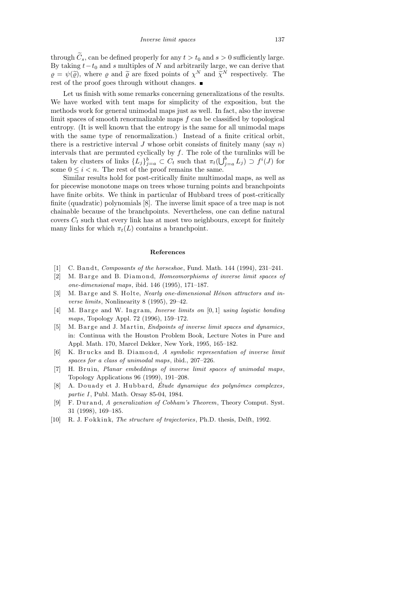through  $\widetilde{C}_s$ , can be defined properly for any  $t > t_0$  and  $s > 0$  sufficiently large. By taking  $t-t_0$  and s multiples of N and arbitrarily large, we can derive that  $\rho = \psi(\tilde{\rho})$ , where  $\rho$  and  $\tilde{\rho}$  are fixed points of  $\chi^N$  and  $\tilde{\chi}^N$  respectively. The rest of the proof goes through without changes.

Let us finish with some remarks concerning generalizations of the results. We have worked with tent maps for simplicity of the exposition, but the methods work for general unimodal maps just as well. In fact, also the inverse limit spaces of smooth renormalizable maps f can be classified by topological entropy. (It is well known that the entropy is the same for all unimodal maps with the same type of renormalization.) Instead of a finite critical orbit, there is a restrictive interval  $J$  whose orbit consists of finitely many (say n) intervals that are permuted cyclically by  $f$ . The role of the turnlinks will be taken by clusters of links  $\{L_j\}_{j=a}^b \subset C_t$  such that  $\pi_t(\bigcup_{j=a}^b L_j) \supset f^i(J)$  for some  $0 \leq i \leq n$ . The rest of the proof remains the same.

Similar results hold for post-critically finite multimodal maps, as well as for piecewise monotone maps on trees whose turning points and branchpoints have finite orbits. We think in particular of Hubbard trees of post-critically finite (quadratic) polynomials [8]. The inverse limit space of a tree map is not chainable because of the branchpoints. Nevertheless, one can define natural covers  $C_t$  such that every link has at most two neighbours, except for finitely many links for which  $\pi_t(L)$  contains a branchpoint.

## **References**

- [1] C. B and t, *Composants of the horseshoe*, Fund. Math. 144 (1994), 231–241.
- [2] M. Barge and B. Diamond, *Homeomorphisms of inverse limit spaces of one-dimensional maps*, ibid. 146 (1995), 171–187.
- [3] M. B arge and S. Holte, *Nearly one-dimensional Hénon attractors and inverse limits*, Nonlinearity 8 (1995), 29–42.
- [4] M. Barge and W. Ingram, *Inverse limits on* [0, 1] *using logistic bonding maps*, Topology Appl. 72 (1996), 159–172.
- [5] M. Barge and J. Martin, *Endpoints of inverse limit spaces and dynamics*, in: Continua with the Houston Problem Book, Lecture Notes in Pure and Appl. Math. 170, Marcel Dekker, New York, 1995, 165–182.
- [6] K. Brucks and B. Diamond, *A symbolic representation of inverse limit spaces for a class of unimodal maps*, ibid., 207–226.
- [7] H. Bruin, *Planar embeddings of inverse limit spaces of unimodal maps*, Topology Applications 96 (1999), 191–208.
- [8] A. Douady et J. Hubbard, *Étude dynamique des polynômes complexes*, *partie I*, Publ. Math. Orsay 85-04, 1984.
- [9] F. Du r and, *A generalization of Cobham's Theorem*, Theory Comput. Syst. 31 (1998), 169–185.
- [10] R. J. Fokkink, *The structure of trajectories*, Ph.D. thesis, Delft, 1992.